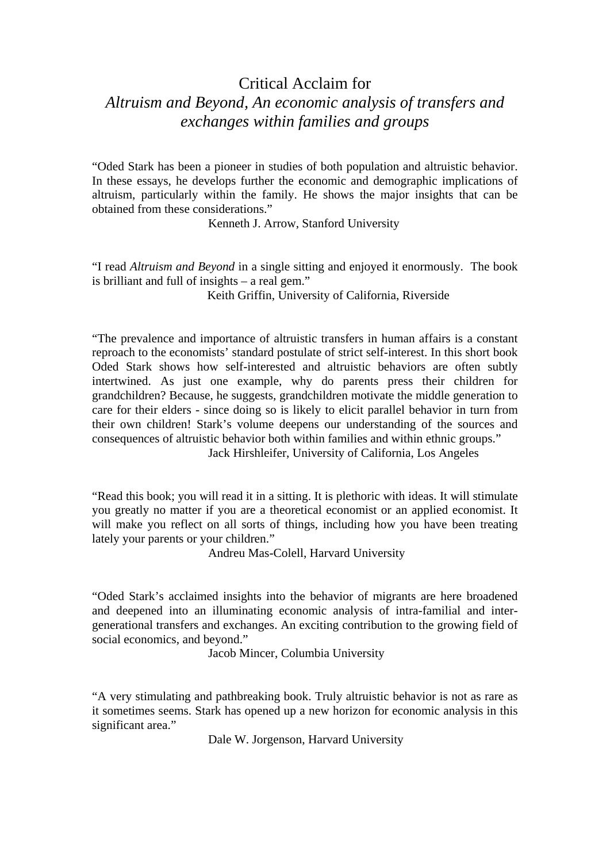## Critical Acclaim for

## *Altruism and Beyond, An economic analysis of transfers and exchanges within families and groups*

"Oded Stark has been a pioneer in studies of both population and altruistic behavior. In these essays, he develops further the economic and demographic implications of altruism, particularly within the family. He shows the major insights that can be obtained from these considerations."

Kenneth J. Arrow, Stanford University

"I read *Altruism and Beyond* in a single sitting and enjoyed it enormously. The book is brilliant and full of insights – a real gem."

Keith Griffin, University of California, Riverside

"The prevalence and importance of altruistic transfers in human affairs is a constant reproach to the economists' standard postulate of strict self-interest. In this short book Oded Stark shows how self-interested and altruistic behaviors are often subtly intertwined. As just one example, why do parents press their children for grandchildren? Because, he suggests, grandchildren motivate the middle generation to care for their elders - since doing so is likely to elicit parallel behavior in turn from their own children! Stark's volume deepens our understanding of the sources and consequences of altruistic behavior both within families and within ethnic groups."

Jack Hirshleifer, University of California, Los Angeles

"Read this book; you will read it in a sitting. It is plethoric with ideas. It will stimulate you greatly no matter if you are a theoretical economist or an applied economist. It will make you reflect on all sorts of things, including how you have been treating lately your parents or your children."

Andreu Mas-Colell, Harvard University

"Oded Stark's acclaimed insights into the behavior of migrants are here broadened and deepened into an illuminating economic analysis of intra-familial and intergenerational transfers and exchanges. An exciting contribution to the growing field of social economics, and beyond."

Jacob Mincer, Columbia University

"A very stimulating and pathbreaking book. Truly altruistic behavior is not as rare as it sometimes seems. Stark has opened up a new horizon for economic analysis in this significant area."

Dale W. Jorgenson, Harvard University